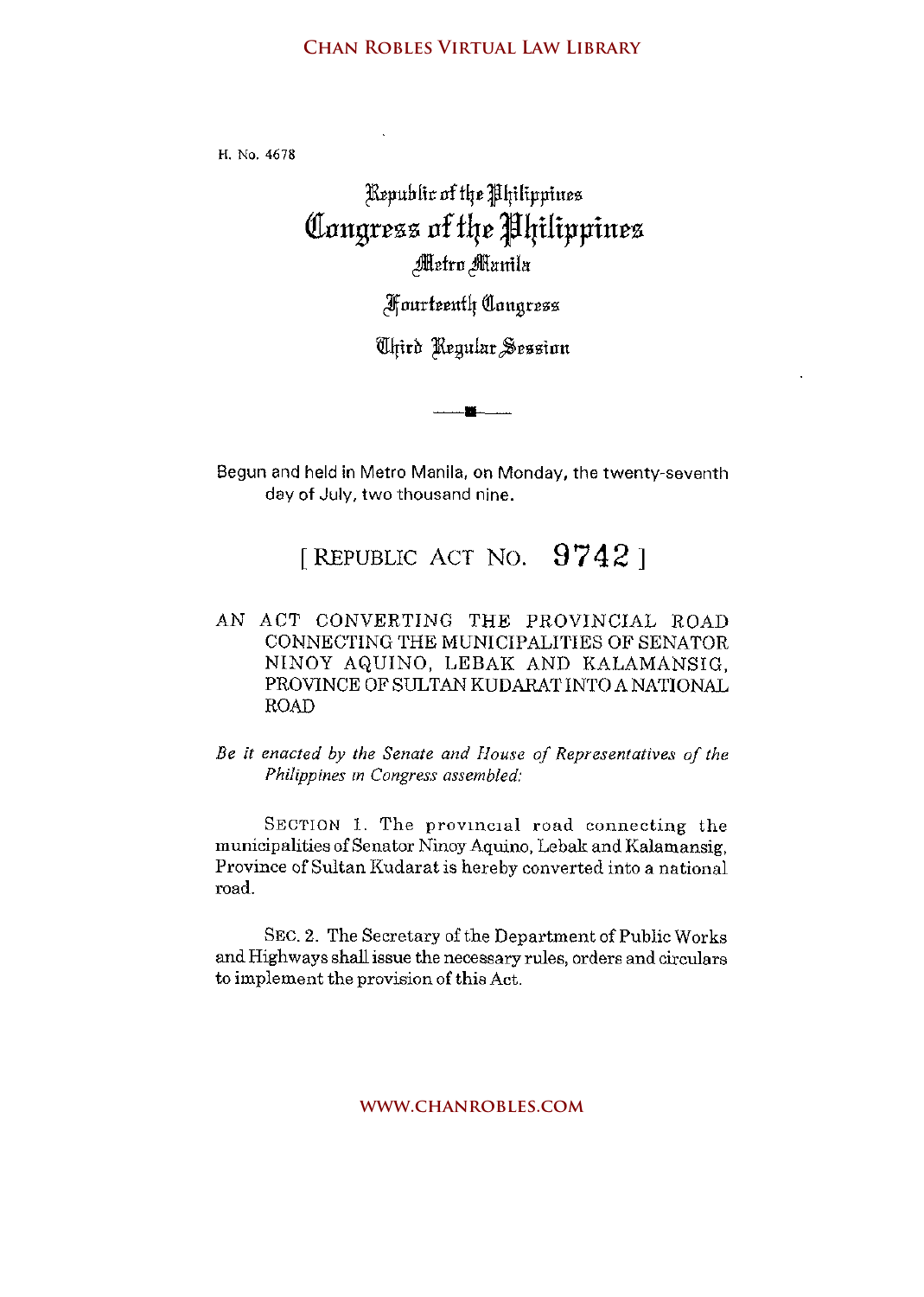## **Chan Robles Virtual Law Library**

H. No. 4678

## )Rrpub[it nftlje Jljilil'ptues Congress of the Philippines Metro Manila

Jlf nurfeeutlj illnugrezz

([ljidr )Rrgulur ~essinn

Begun and held in Metro Manila, on Monday, the twenty-seventh day **of** July, two thousand nine.

## [REPUBLIC ACT NO.  $9742$ ]

- AN ACT CONVERTING THE PROVINCIAL ROAD CONNECTING THE MUNICIPALITIES OF SENATOR NINOY AQUINO, LEBAK AND KALAMANSIG, PROVINCE OF SULTAN KUDARATINTO A NATIONAL ROAD
- *Be it enacted by the Senate and House of Representatives of the Philippines m Congress assembled:*

SECTION 1. The provincial road connecting the municipalities of Senator Ninoy Aquino, Lebak and Kalamansig, Province of Sultan Kudarat is hereby converted into a national road.

SEC. 2. The Secretary of the Department of Public Works and Highways shall issue the necessary rules, orders and circulars to implement the provision of this Act.